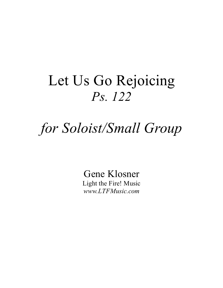## Let Us Go Rejoicing Ps. 122

# for Soloist/Small Group

Gene Klosner Light the Fire! Music www.LTFMusic.com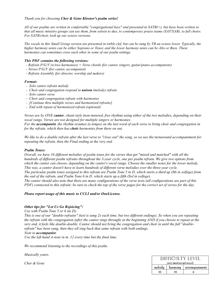#### Thank you for choosing Cher & Gene Klosner's psalm series!

All of our psalms are written in comfortable "congregational keys" and presented in SATB(+), but have been written so that all music ministry groups can use them, from soloist to duo, to contemporary praise teams (SAT/SAB), to full choirs. For SATB/choir, look up our octavo versions.

The vocals in this Small Group version are presented in treble clef, but can be sung by TB an octave lower. Typically, the higher harmony notes can be either Soprano or Tenor, and the lower harmony notes can be Alto or Bass. These harmonies can sometimes cross each other in some of our psalm settings.

#### This PDF contains the following versions:

- Refrain P/G/V (w/two harmonies) + Verse chords (for cantor, singers, guitar/piano accompanists)
- Verses P/G/V (for cantor, accompanist)
- Refrain Assembly (for director, worship aid makers)

#### Format:

- Solo cantor refrain melody
- Choir and congregation respond in *unison* (melody) refrain
- Solo cantor verse
- Choir and congregation refrain with harmonies
- [Continue thru multiple verses and harmonized refrains]
- End with repeat of harmonized refrain (optional)

Verses are by ONE **cantor**, chant-style (non-metered, free rhythm) using either of the two melodies, depending on their vocal range. Verses are not designed for multiple singers or harmonies.

For the accompanist, the rhythm resumes (a tempo) on the last word of each verse to bring choir and congregation in for the refrain, which then has **choir** harmonies from there on out.

We like to do a double refrain after the last verse to "close out" the song, so we use the turnaround accompaniment for repeating the refrain, then the Final ending at the very end.

#### Psalm Tones:

Overall, we have 16 different melodies of psalm tones for the verses that get "mixed and matched" with all the hundreds of different psalm refrains throughout the 3-year cycle, one per psalm refrain. We give two options from which the cantor can choose, depending on the cantor's vocal range. Choose the smaller notes for the lower melody. This way, a cantor doesn't have to learn hundreds of different verse melodies over the three-year cycle. The particular psalm tones assigned to this refrain are Psalm Tone 5 in D, which starts a third up (Mi in solfege) from the end of the refrain, and Psalm Tone 6 in D, which starts up a fifth (Sol in solfege).

The cantor should also note that there are many configurations of the verse texts (all configurations are part of this PDF) connected to this refrain; be sure to check the top of the verse pages for the correct set of verses for the day.

#### Please report usage of this music to CCLI and/or OneLicense.

### Other tips for "Let Us Go Rejoicing":

#### Use with Psalm Tone 5 or 6 (in D).

This is one of our "double-refrains" (text is sung 2x each time, but two different endings). So when you are repeating the refrain with the congregation (after the cantor sings through) at the beginning AND if you choose to repeat at the very end, it feels like double-double. Cantor should not bring the congregation and choir in until the full "doublerefrain" has been sung, then they all sing back that same refrain with both endings.

#### Note to accompanist:

Use the left hand A-note in m. 12 every time but the final time.

We recommend listening to the recordings of this psalm.

Musically yours,

Cher & Gene

| DIFFICULTY LEVEL       |         |               |
|------------------------|---------|---------------|
| (easy/medium/advanced) |         |               |
| melody                 | harmony | accompaniment |
|                        | m       | я             |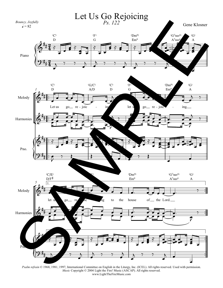

Psalm refrain © 1968, 1981, 1997, International Committee on English in the Liturgy, Inc. (ICEL). All rights reserved. Used with permission. Music Copyright © 2004 Light the Fire! Music (ASCAP). All rights reserved. www.LightTheFireMusic.com